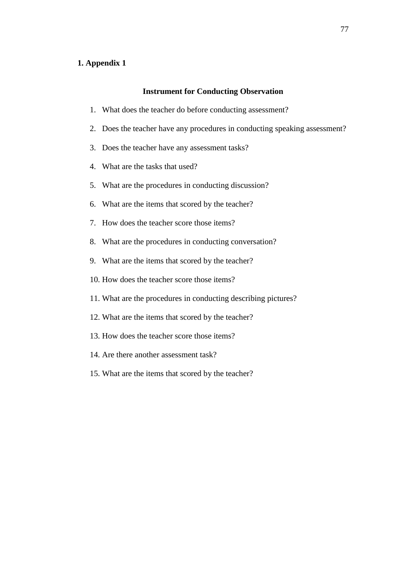#### **1. Appendix 1**

#### **Instrument for Conducting Observation**

- 1. What does the teacher do before conducting assessment?
- 2. Does the teacher have any procedures in conducting speaking assessment?
- 3. Does the teacher have any assessment tasks?
- 4. What are the tasks that used?
- 5. What are the procedures in conducting discussion?
- 6. What are the items that scored by the teacher?
- 7. How does the teacher score those items?
- 8. What are the procedures in conducting conversation?
- 9. What are the items that scored by the teacher?
- 10. How does the teacher score those items?
- 11. What are the procedures in conducting describing pictures?
- 12. What are the items that scored by the teacher?
- 13. How does the teacher score those items?
- 14. Are there another assessment task?
- 15. What are the items that scored by the teacher?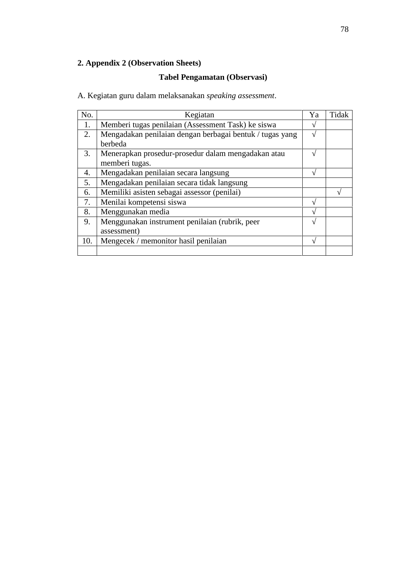# **2. Appendix 2 (Observation Sheets)**

# **Tabel Pengamatan (Observasi)**

A. Kegiatan guru dalam melaksanakan *speaking assessment*.

| No. | Kegiatan                                                 | Ya | Tidak |
|-----|----------------------------------------------------------|----|-------|
| 1.  | Memberi tugas penilaian (Assessment Task) ke siswa       |    |       |
| 2.  | Mengadakan penilaian dengan berbagai bentuk / tugas yang |    |       |
|     | berbeda                                                  |    |       |
| 3.  | Menerapkan prosedur-prosedur dalam mengadakan atau       |    |       |
|     | memberi tugas.                                           |    |       |
| 4.  | Mengadakan penilaian secara langsung                     |    |       |
| 5.  | Mengadakan penilaian secara tidak langsung               |    |       |
| 6.  | Memiliki asisten sebagai assessor (penilai)              |    |       |
| 7.  | Menilai kompetensi siswa                                 |    |       |
| 8.  | Menggunakan media                                        |    |       |
| 9.  | Menggunakan instrument penilaian (rubrik, peer           |    |       |
|     | assessment)                                              |    |       |
| 10. | Mengecek / memonitor hasil penilaian                     |    |       |
|     |                                                          |    |       |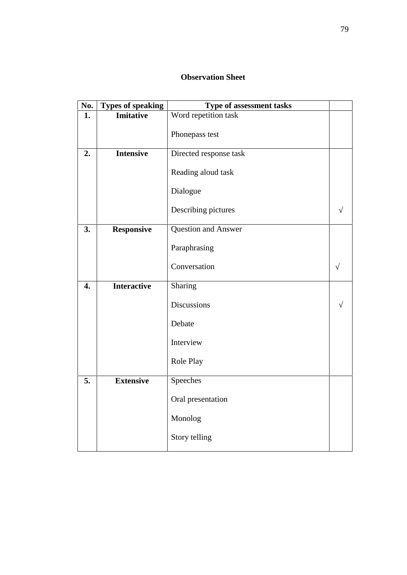| No.              | <b>Types of speaking</b> | <b>Type of assessment tasks</b> |  |
|------------------|--------------------------|---------------------------------|--|
| 1.               | <b>Imitative</b>         | Word repetition task            |  |
|                  |                          | Phonepass test                  |  |
| 2.               | <b>Intensive</b>         | Directed response task          |  |
|                  |                          | Reading aloud task              |  |
|                  |                          | Dialogue                        |  |
|                  |                          | Describing pictures             |  |
| 3.               | <b>Responsive</b>        | Question and Answer             |  |
|                  |                          | Paraphrasing                    |  |
|                  |                          | Conversation                    |  |
| $\overline{4}$ . | <b>Interactive</b>       | Sharing                         |  |
|                  |                          | <b>Discussions</b>              |  |
|                  |                          | Debate                          |  |
|                  |                          | Interview                       |  |
|                  |                          | Role Play                       |  |
| 5.               | <b>Extensive</b>         | Speeches                        |  |
|                  |                          | Oral presentation               |  |
|                  |                          | Monolog                         |  |
|                  |                          | Story telling                   |  |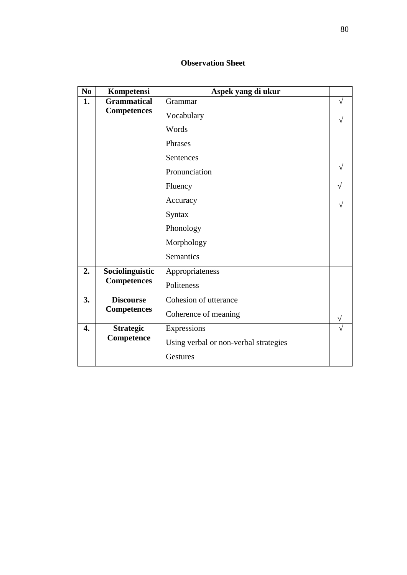| N <sub>0</sub>   | Kompetensi         | Aspek yang di ukur                    |  |
|------------------|--------------------|---------------------------------------|--|
| 1.               | <b>Grammatical</b> | Grammar                               |  |
|                  | <b>Competences</b> | Vocabulary                            |  |
|                  |                    | Words                                 |  |
|                  |                    | Phrases                               |  |
|                  |                    | Sentences                             |  |
|                  |                    | Pronunciation                         |  |
|                  |                    | Fluency                               |  |
|                  |                    | Accuracy                              |  |
|                  |                    | Syntax                                |  |
|                  |                    | Phonology                             |  |
|                  |                    | Morphology                            |  |
|                  |                    | Semantics                             |  |
| 2.               | Sociolinguistic    | Appropriateness                       |  |
|                  | <b>Competences</b> | Politeness                            |  |
| 3.               | <b>Discourse</b>   | Cohesion of utterance                 |  |
|                  | <b>Competences</b> | Coherence of meaning                  |  |
| $\overline{4}$ . | <b>Strategic</b>   | Expressions                           |  |
|                  | Competence         | Using verbal or non-verbal strategies |  |
|                  |                    | Gestures                              |  |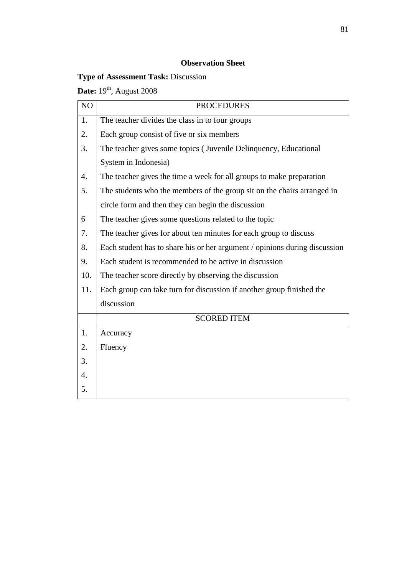# **Type of Assessment Task:** Discussion

**Date:** 19<sup>th</sup>, August 2008

| NO               | <b>PROCEDURES</b>                                                          |
|------------------|----------------------------------------------------------------------------|
| 1.               | The teacher divides the class in to four groups                            |
| 2.               | Each group consist of five or six members                                  |
| 3.               | The teacher gives some topics (Juvenile Delinquency, Educational           |
|                  | System in Indonesia)                                                       |
| $\overline{4}$ . | The teacher gives the time a week for all groups to make preparation       |
| 5.               | The students who the members of the group sit on the chairs arranged in    |
|                  | circle form and then they can begin the discussion                         |
| 6                | The teacher gives some questions related to the topic                      |
| 7.               | The teacher gives for about ten minutes for each group to discuss          |
| 8.               | Each student has to share his or her argument / opinions during discussion |
| 9.               | Each student is recommended to be active in discussion                     |
| 10.              | The teacher score directly by observing the discussion                     |
| 11.              | Each group can take turn for discussion if another group finished the      |
|                  | discussion                                                                 |
|                  | <b>SCORED ITEM</b>                                                         |
| 1.               | Accuracy                                                                   |
| 2.               | Fluency                                                                    |
| 3.               |                                                                            |
| $\overline{4}$ . |                                                                            |
| 5.               |                                                                            |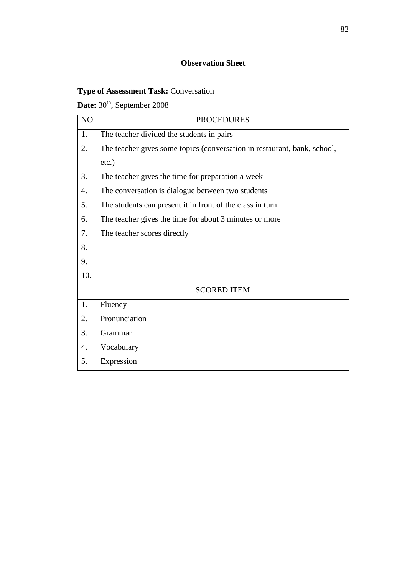# **Type of Assessment Task:** Conversation

# Date: 30<sup>th</sup>, September 2008

| NO  | <b>PROCEDURES</b>                                                        |
|-----|--------------------------------------------------------------------------|
| 1.  | The teacher divided the students in pairs                                |
| 2.  | The teacher gives some topics (conversation in restaurant, bank, school, |
|     | $etc.$ )                                                                 |
| 3.  | The teacher gives the time for preparation a week                        |
| 4.  | The conversation is dialogue between two students                        |
| 5.  | The students can present it in front of the class in turn                |
| 6.  | The teacher gives the time for about 3 minutes or more                   |
| 7.  | The teacher scores directly                                              |
| 8.  |                                                                          |
| 9.  |                                                                          |
| 10. |                                                                          |
|     | <b>SCORED ITEM</b>                                                       |
| 1.  | Fluency                                                                  |
| 2.  | Pronunciation                                                            |
| 3.  | Grammar                                                                  |
| 4.  | Vocabulary                                                               |
| 5.  | Expression                                                               |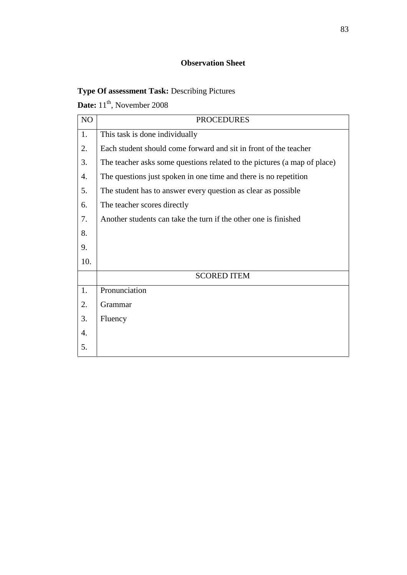# **Type Of assessment Task:** Describing Pictures

**Date:** 11<sup>th</sup>, November 2008

| NO  | <b>PROCEDURES</b>                                                        |
|-----|--------------------------------------------------------------------------|
| 1.  | This task is done individually                                           |
| 2.  | Each student should come forward and sit in front of the teacher         |
| 3.  | The teacher asks some questions related to the pictures (a map of place) |
| 4.  | The questions just spoken in one time and there is no repetition         |
| 5.  | The student has to answer every question as clear as possible            |
| 6.  | The teacher scores directly                                              |
| 7.  | Another students can take the turn if the other one is finished          |
| 8.  |                                                                          |
| 9.  |                                                                          |
| 10. |                                                                          |
|     | <b>SCORED ITEM</b>                                                       |
| 1.  | Pronunciation                                                            |
| 2.  | Grammar                                                                  |
| 3.  | Fluency                                                                  |
| 4.  |                                                                          |
| 5.  |                                                                          |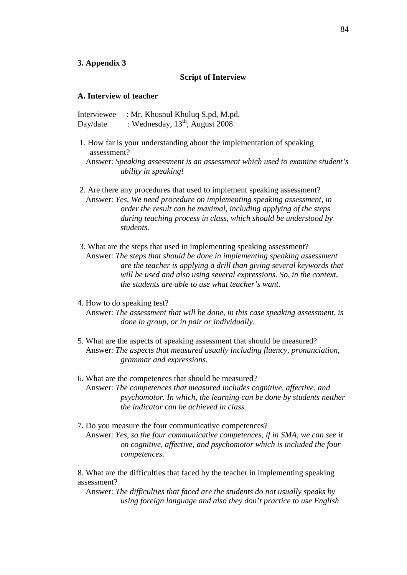#### **3. Appendix 3**

#### **Script of Interview**

#### **A. Interview of teacher**

Interviewee : Mr. Khusnul Khuluq S.pd, M.pd. Day/date : Wednesday,  $13^{th}$ , August  $2008$ 

1. How far is your understanding about the implementation of speaking assessment?

Answer: *Speaking assessment is an assessment which used to examine student's ability in speaking!*

2. Are there any procedures that used to implement speaking assessment? Answer: *Yes, We need procedure on implementing speaking assessment, in order the result can be maximal, including applying of the steps during teaching process in class, which should be understood by students.*

3. What are the steps that used in implementing speaking assessment? Answer: *The steps that should be done in implementing speaking assessment are the teacher is applying a drill than giving several keywords that will be used and also using several expressions. So, in the context, the students are able to use what teacher's want.*

#### 4. How to do speaking test?

Answer: *The assessment that will be done, in this case speaking assessment, is done in group, or in pair or individually.*

- 5. What are the aspects of speaking assessment that should be measured? Answer: *The aspects that measured usually including fluency, pronunciation, grammar and expressions.*
- 6. What are the competences that should be measured? Answer: *The competences that measured includes cognitive, affective, and psychomotor. In which, the learning can be done by students neither the indicator can be achieved in class.*
- 7. Do you measure the four communicative competences? Answer: *Yes, so the four communicative competences, if in SMA, we can see it on cognitive, affective, and psychomotor which is included the four competences.*

8. What are the difficulties that faced by the teacher in implementing speaking assessment?

Answer: *The difficulties that faced are the students do not usually speaks by using foreign language and also they don't practice to use English*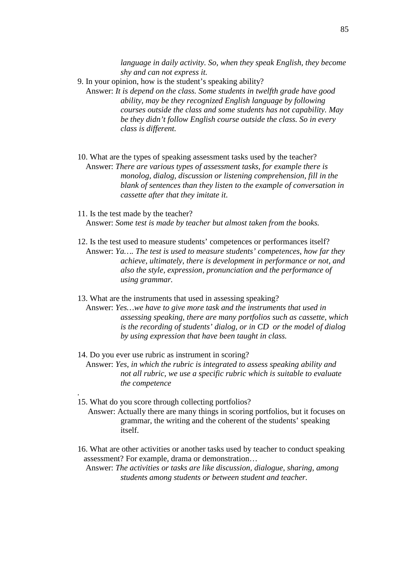*language in daily activity. So, when they speak English, they become shy and can not express it.*

- 9. In your opinion, how is the student's speaking ability?
	- Answer: *It is depend on the class. Some students in twelfth grade have good ability, may be they recognized English language by following courses outside the class and some students has not capability. May be they didn't follow English course outside the class. So in every class is different.*
- 10. What are the types of speaking assessment tasks used by the teacher? Answer: *There are various types of assessment tasks, for example there is monolog, dialog, discussion or listening comprehension, fill in the blank of sentences than they listen to the example of conversation in cassette after that they imitate it.*
- 11. Is the test made by the teacher? Answer: *Some test is made by teacher but almost taken from the books.*
- 12. Is the test used to measure students' competences or performances itself? Answer: *Ya…. The test is used to measure students' competences, how far they achieve, ultimately, there is development in performance or not, and also the style, expression, pronunciation and the performance of using grammar.*
- 13. What are the instruments that used in assessing speaking?
	- Answer: *Yes…we have to give more task and the instruments that used in assessing speaking, there are many portfolios such as cassette, which is the recording of students' dialog, or in CD or the model of dialog by using expression that have been taught in class.*
- 14. Do you ever use rubric as instrument in scoring? Answer: *Yes, in which the rubric is integrated to assess speaking ability and not all rubric, we use a specific rubric which is suitable to evaluate*
- 15. What do you score through collecting portfolios?

*the competence*

*.*

- Answer: Actually there are many things in scoring portfolios, but it focuses on grammar, the writing and the coherent of the students' speaking itself.
- 16. What are other activities or another tasks used by teacher to conduct speaking assessment? For example, drama or demonstration…

Answer: *The activities or tasks are like discussion, dialogue, sharing, among students among students or between student and teacher.*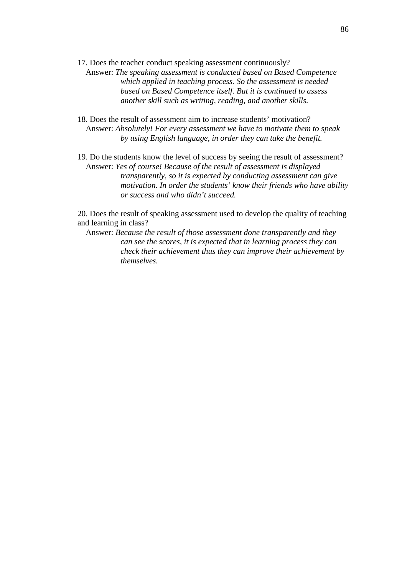17. Does the teacher conduct speaking assessment continuously?

Answer: *The speaking assessment is conducted based on Based Competence which applied in teaching process. So the assessment is needed based on Based Competence itself. But it is continued to assess another skill such as writing, reading, and another skills.*

- 18. Does the result of assessment aim to increase students' motivation? Answer: *Absolutely! For every assessment we have to motivate them to speak by using English language, in order they can take the benefit.*
- 19. Do the students know the level of success by seeing the result of assessment? Answer: *Yes of course! Because of the result of assessment is displayed transparently, so it is expected by conducting assessment can give motivation. In order the students' know their friends who have ability or success and who didn't succeed.*

20. Does the result of speaking assessment used to develop the quality of teaching and learning in class?

Answer: *Because the result of those assessment done transparently and they can see the scores, it is expected that in learning process they can check their achievement thus they can improve their achievement by themselves.*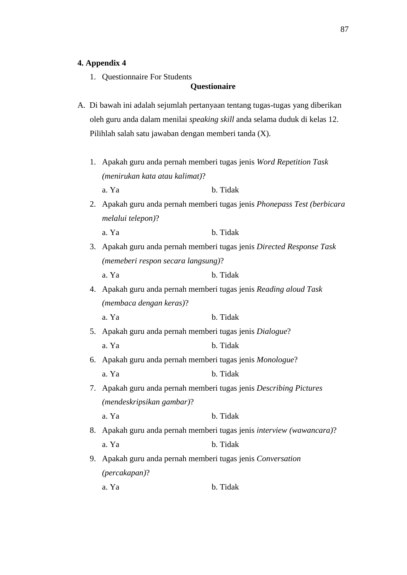#### **4. Appendix 4**

1. Questionnaire For Students

#### **Questionaire**

- A. Di bawah ini adalah sejumlah pertanyaan tentang tugas-tugas yang diberikan oleh guru anda dalam menilai *speaking skill* anda selama duduk di kelas 12. Pilihlah salah satu jawaban dengan memberi tanda (X).
	- 1. Apakah guru anda pernah memberi tugas jenis *Word Repetition Task (menirukan kata atau kalimat)*? a. Ya b. Tidak
	- 2. Apakah guru anda pernah memberi tugas jenis *Phonepass Test (berbicara melalui telepon)*?

a. Ya b. Tidak

- 3. Apakah guru anda pernah memberi tugas jenis *Directed Response Task (memeberi respon secara langsung)*?
	- a. Ya b. Tidak
- 4. Apakah guru anda pernah memberi tugas jenis *Reading aloud Task (membaca dengan keras)*?

a. Ya b. Tidak

- 5. Apakah guru anda pernah memberi tugas jenis *Dialogue*? a. Ya b. Tidak
- 6. Apakah guru anda pernah memberi tugas jenis *Monologue*? a. Ya b. Tidak
- 7. Apakah guru anda pernah memberi tugas jenis *Describing Pictures (mendeskripsikan gambar)*? a. Ya b. Tidak
- 8. Apakah guru anda pernah memberi tugas jenis *interview (wawancara)*? a. Ya b. Tidak
- 9. Apakah guru anda pernah memberi tugas jenis *Conversation (percakapan)*?
	- a. Ya b. Tidak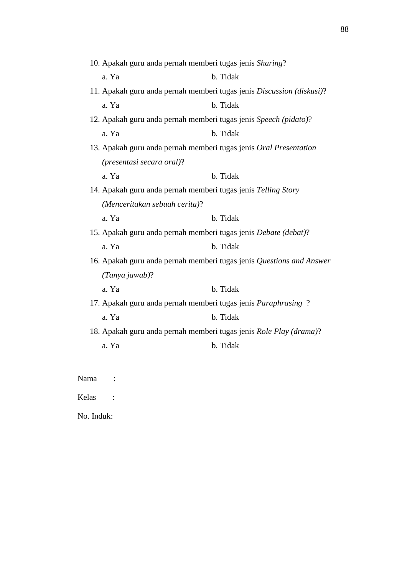| 10. Apakah guru anda pernah memberi tugas jenis Sharing? |                                                                       |  |
|----------------------------------------------------------|-----------------------------------------------------------------------|--|
| a. Ya                                                    | b. Tidak                                                              |  |
|                                                          | 11. Apakah guru anda pernah memberi tugas jenis Discussion (diskusi)? |  |
| a. Ya                                                    | b. Tidak                                                              |  |
|                                                          | 12. Apakah guru anda pernah memberi tugas jenis Speech (pidato)?      |  |
| a. Ya                                                    | b. Tidak                                                              |  |
|                                                          | 13. Apakah guru anda pernah memberi tugas jenis Oral Presentation     |  |
| (presentasi secara oral)?                                |                                                                       |  |
| a. Ya                                                    | b. Tidak                                                              |  |
|                                                          | 14. Apakah guru anda pernah memberi tugas jenis Telling Story         |  |
| (Menceritakan sebuah cerita)?                            |                                                                       |  |
|                                                          |                                                                       |  |
| a. Ya                                                    | b. Tidak                                                              |  |
|                                                          | 15. Apakah guru anda pernah memberi tugas jenis Debate (debat)?       |  |
| a. Ya                                                    | b. Tidak                                                              |  |
|                                                          | 16. Apakah guru anda pernah memberi tugas jenis Questions and Answer  |  |
| $(Tanya jawab)$ ?                                        |                                                                       |  |
| a. Ya                                                    | b. Tidak                                                              |  |
|                                                          | 17. Apakah guru anda pernah memberi tugas jenis Paraphrasing?         |  |
| a. Ya                                                    | b. Tidak                                                              |  |
|                                                          | 18. Apakah guru anda pernah memberi tugas jenis Role Play (drama)?    |  |
| a. Ya                                                    | b. Tidak                                                              |  |

Nama :

Kelas :

No. Induk: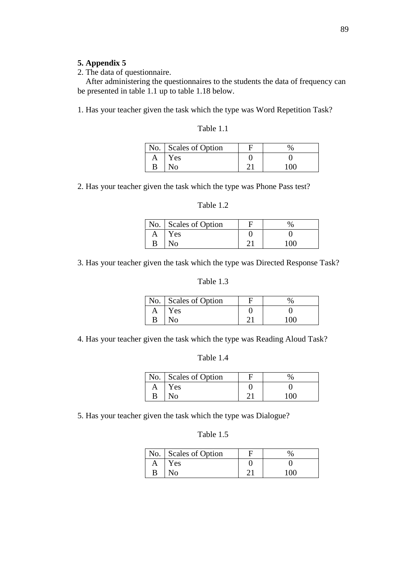## **5. Appendix 5**

2. The data of questionnaire.

After administering the questionnaires to the students the data of frequency can be presented in table 1.1 up to table 1.18 below.

1. Has your teacher given the task which the type was Word Repetition Task?

| Table 1.1 |
|-----------|
|-----------|

|   | No. Scales of Option | $\%$ |
|---|----------------------|------|
| A | Yes                  |      |
| B | No                   | 100  |

2. Has your teacher given the task which the type was Phone Pass test?

#### Table 1.2

|   | No.   Scales of Option | 0/2 |
|---|------------------------|-----|
| А | Y es                   |     |
|   |                        | 100 |

3. Has your teacher given the task which the type was Directed Response Task?

# Table 1.3

|   | No. Scales of Option | 0/2 |
|---|----------------------|-----|
| A | <b>Yes</b>           |     |
| B | No.                  | 100 |

4. Has your teacher given the task which the type was Reading Aloud Task?

|   | No. Scales of Option | $\frac{0}{0}$ |
|---|----------------------|---------------|
| A | Yes                  |               |
| B | No                   | 100           |

5. Has your teacher given the task which the type was Dialogue?

| Table 1.5 |  |
|-----------|--|
|-----------|--|

|   | No.   Scales of Option |     |
|---|------------------------|-----|
| A | Yes                    |     |
| B |                        | 100 |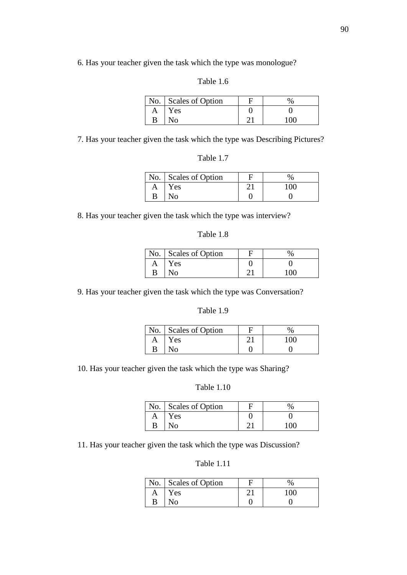6. Has your teacher given the task which the type was monologue?

## Table 1.6

|   | No.   Scales of Option |     |
|---|------------------------|-----|
| A | <b>Yes</b>             |     |
| В |                        | 100 |

7. Has your teacher given the task which the type was Describing Pictures?

|   | No. Scales of Option |     |
|---|----------------------|-----|
| A | Yes                  | 100 |
|   |                      |     |

8. Has your teacher given the task which the type was interview?

|   | $\vert$ No. $\vert$ Scales of Option |     |
|---|--------------------------------------|-----|
| A | Yes                                  |     |
| B | No                                   | 100 |

9. Has your teacher given the task which the type was Conversation?

## Table 1.9

|   | No. Scales of Option |     |
|---|----------------------|-----|
| A | Yes                  | 100 |
| B | No                   |     |

10. Has your teacher given the task which the type was Sharing?

#### Table 1.10

|   | No.   Scales of Option |         |  |
|---|------------------------|---------|--|
|   | Yes                    |         |  |
| В | No                     | $100 -$ |  |

11. Has your teacher given the task which the type was Discussion?

# Table 1.11

|   | No.   Scales of Option |     |
|---|------------------------|-----|
| A | Y es                   | 100 |
| B | . ≀0د                  |     |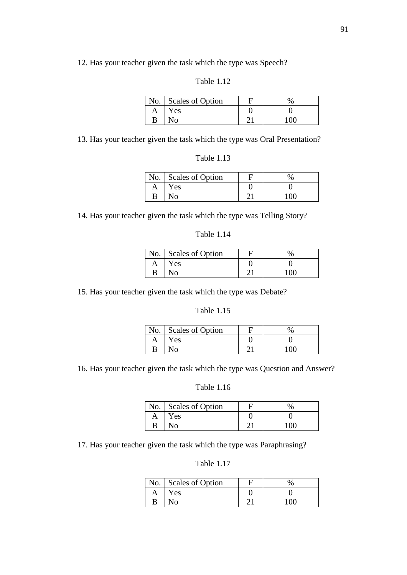12. Has your teacher given the task which the type was Speech?

### Table 1.12

|   | No.   Scales of Option |     |
|---|------------------------|-----|
| A | Yes                    |     |
| B |                        | 100 |

13. Has your teacher given the task which the type was Oral Presentation?

|   | No. Scales of Option |     |
|---|----------------------|-----|
| A | Yes                  |     |
|   |                      | 100 |

14. Has your teacher given the task which the type was Telling Story?

|   | No. $\vert$ Scales of Option |     |
|---|------------------------------|-----|
|   | Yes                          |     |
| В | NO.                          | 100 |

15. Has your teacher given the task which the type was Debate?

|   | No. Scales of Option |     |  |
|---|----------------------|-----|--|
| A | <b>Yes</b>           |     |  |
| B | No                   | 100 |  |

16. Has your teacher given the task which the type was Question and Answer?

#### Table 1.16

|   | No. Scales of Option | $\%$ |  |
|---|----------------------|------|--|
|   | Yes                  |      |  |
| В | No                   | 100  |  |

17. Has your teacher given the task which the type was Paraphrasing?

Table 1.17

|   | No. Scales of Option |     |
|---|----------------------|-----|
|   | Yes                  |     |
| B | NO.                  | 100 |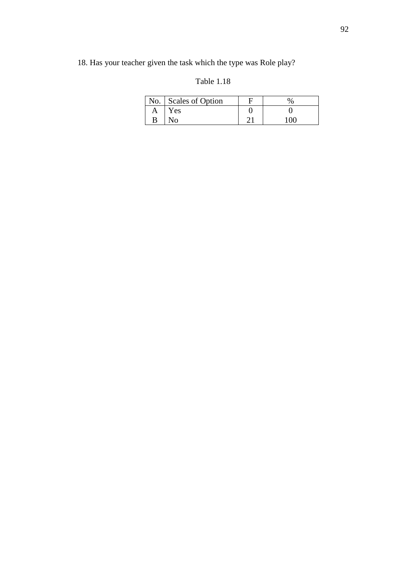# 18. Has your teacher given the task which the type was Role play?

# Table 1.18

|   | No. Scales of Option |     |  |
|---|----------------------|-----|--|
| A | Y es                 |     |  |
| B |                      | 100 |  |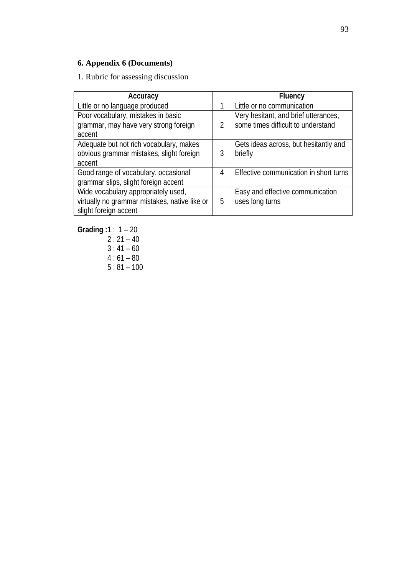# **6. Appendix 6 (Documents)**

1. Rubric for assessing discussion

| Accuracy                                      |               | Fluency                                |
|-----------------------------------------------|---------------|----------------------------------------|
| Little or no language produced                |               | Little or no communication             |
| Poor vocabulary, mistakes in basic            |               | Very hesitant, and brief utterances,   |
| grammar, may have very strong foreign         | $\mathcal{P}$ | some times difficult to understand     |
| accent                                        |               |                                        |
| Adequate but not rich vocabulary, makes       |               | Gets ideas across, but hesitantly and  |
| obvious grammar mistakes, slight foreign      | 3             | briefly                                |
| accent                                        |               |                                        |
| Good range of vocabulary, occasional          | 4             | Effective communication in short turns |
| grammar slips, slight foreign accent          |               |                                        |
| Wide vocabulary appropriately used,           |               | Easy and effective communication       |
| virtually no grammar mistakes, native like or | 5             | uses long turns                        |
| slight foreign accent                         |               |                                        |

**Grading :**1 : 1 – 20  $2:21 - 40$ 

 $3:41 - 60$ 

- $4:61 80$
- $5:81 100$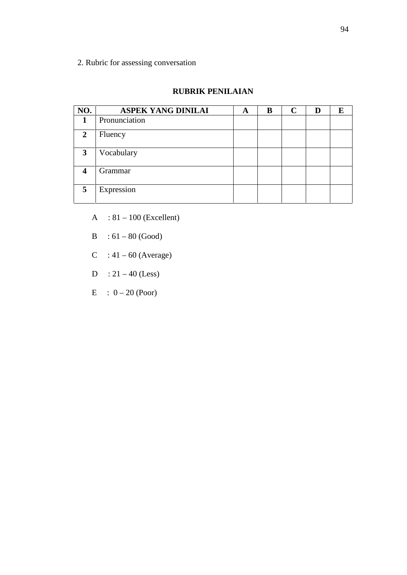2. Rubric for assessing conversation

#### **RUBRIK PENILAIAN**

| NO.              | <b>ASPEK YANG DINILAI</b> | A | B | $\mathbf C$ | E |
|------------------|---------------------------|---|---|-------------|---|
| 1                | Pronunciation             |   |   |             |   |
| $\overline{2}$   | Fluency                   |   |   |             |   |
| 3                | Vocabulary                |   |   |             |   |
| $\boldsymbol{4}$ | Grammar                   |   |   |             |   |
| 5                | Expression                |   |   |             |   |

- $A : 81 100$  (Excellent)
- $B : 61 80$  (Good)
- $C : 41 60$  (Average)
- $D : 21 40$  (Less)
- $E : 0 20$  (Poor)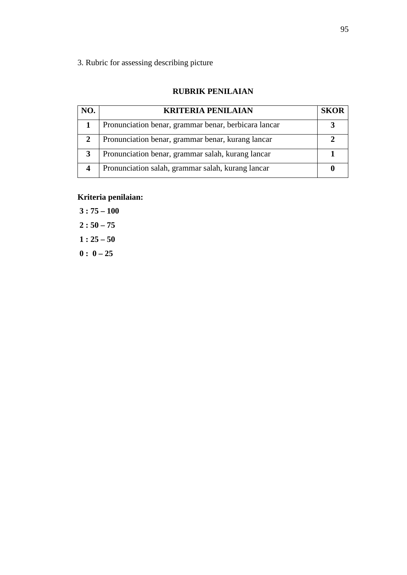3. Rubric for assessing describing picture

#### **RUBRIK PENILAIAN**

| NO. | <b>KRITERIA PENILAIAN</b>                            | <b>SKOR</b> |
|-----|------------------------------------------------------|-------------|
|     | Pronunciation benar, grammar benar, berbicara lancar |             |
| 2   | Pronunciation benar, grammar benar, kurang lancar    |             |
|     | Pronunciation benar, grammar salah, kurang lancar    |             |
| Δ   | Pronunciation salah, grammar salah, kurang lancar    |             |

# **Kriteria penilaian:**

**3 : 75 – 100**  $2:50 - 75$  $1: 25 - 50$  $0: 0-25$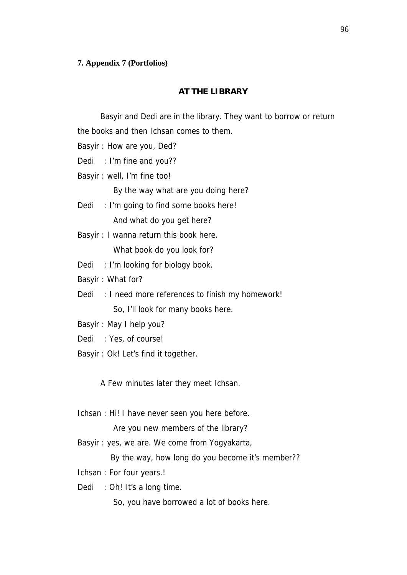#### **7. Appendix 7 (Portfolios)**

### **AT THE LIBRARY**

Basyir and Dedi are in the library. They want to borrow or return the books and then Ichsan comes to them.

Basyir : How are you, Ded?

Dedi : I'm fine and you??

Basyir : well, I'm fine too!

By the way what are you doing here?

- Dedi : I'm going to find some books here! And what do you get here?
- Basyir : I wanna return this book here. What book do you look for?

Dedi : I'm looking for biology book.

Basyir : What for?

Dedi: : I need more references to finish my homework! So, I'll look for many books here.

Basyir : May I help you?

- Dedi: : Yes, of course!
- Basyir : Ok! Let's find it together.

A Few minutes later they meet Ichsan.

Ichsan : Hi! I have never seen you here before.

Are you new members of the library?

Basyir : yes, we are. We come from Yogyakarta,

By the way, how long do you become it's member??

- Ichsan : For four years.!
- Dedi : Oh! It's a long time.

So, you have borrowed a lot of books here.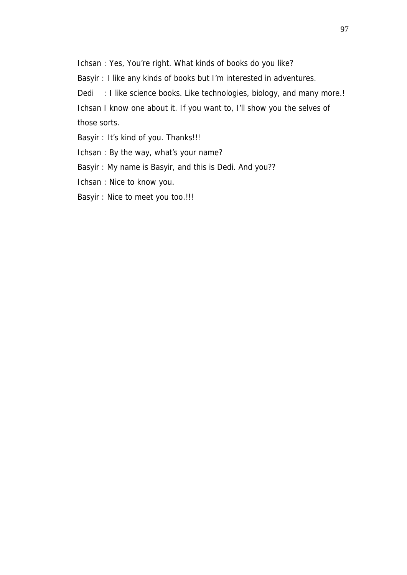Ichsan : Yes, You're right. What kinds of books do you like?

Basyir : I like any kinds of books but I'm interested in adventures.

Dedi: : I like science books. Like technologies, biology, and many more.!

Ichsan I know one about it. If you want to, I'll show you the selves of those sorts.

Basyir : It's kind of you. Thanks!!!

Ichsan : By the way, what's your name?

Basyir : My name is Basyir, and this is Dedi. And you??

Ichsan : Nice to know you.

Basyir : Nice to meet you too.!!!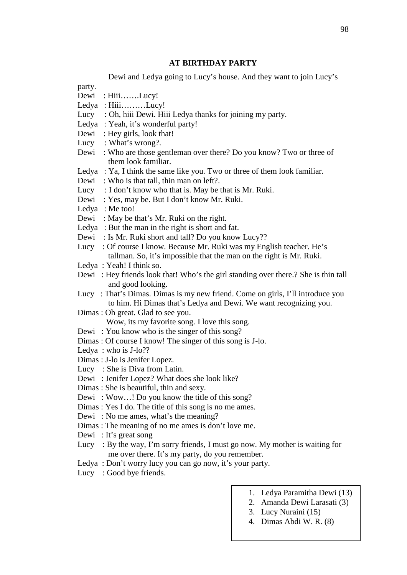#### **AT BIRTHDAY PARTY**

Dewi and Ledya going to Lucy's house. And they want to join Lucy's party. Dewi : Hiii…….Lucy! Ledya : Hiii………Lucy! Lucy : Oh, hiii Dewi. Hiii Ledya thanks for joining my party. Ledya: Yeah, it's wonderful party! Dewi : Hey girls, look that! Lucy : What's wrong?. Dewi : Who are those gentleman over there? Do you know? Two or three of them look familiar. Ledya : Ya, I think the same like you. Two or three of them look familiar. Dewi : Who is that tall, thin man on left?. Lucy : I don't know who that is. May be that is Mr. Ruki. Dewi : Yes, may be. But I don't know Mr. Ruki. Ledya: Me too! Dewi : May be that's Mr. Ruki on the right. Ledya : But the man in the right is short and fat. Dewi : Is Mr. Ruki short and tall? Do you know Lucy?? Lucy : Of course I know. Because Mr. Ruki was my English teacher. He's tallman. So, it's impossible that the man on the right is Mr. Ruki. Ledya : Yeah! I think so. Dewi : Hey friends look that! Who's the girl standing over there.? She is thin tall and good looking. Lucy : That's Dimas. Dimas is my new friend. Come on girls, I'll introduce you to him. Hi Dimas that's Ledya and Dewi. We want recognizing you. Dimas : Oh great. Glad to see you. Wow, its my favorite song. I love this song. Dewi : You know who is the singer of this song? Dimas : Of course I know! The singer of this song is J-lo. Ledya : who is J-lo?? Dimas : J-lo is Jenifer Lopez. Lucy : She is Diva from Latin. Dewi : Jenifer Lopez? What does she look like? Dimas : She is beautiful, thin and sexy. Dewi : Wow…! Do you know the title of this song? Dimas : Yes I do. The title of this song is no me ames. Dewi : No me ames, what's the meaning? Dimas : The meaning of no me ames is don't love me. Dewi : It's great song Lucy : By the way, I'm sorry friends, I must go now. My mother is waiting for me over there. It's my party, do you remember. Ledya : Don't worry lucy you can go now, it's your party. Lucy : Good bye friends.

- 1. Ledya Paramitha Dewi (13)
- 2. Amanda Dewi Larasati (3)
- 3. Lucy Nuraini (15)
- 4. Dimas Abdi W. R. (8)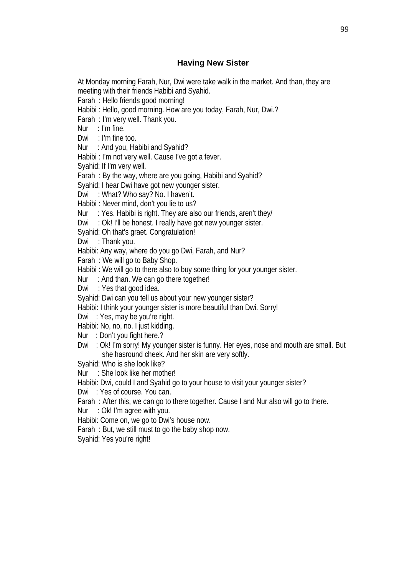## **Having New Sister**

At Monday morning Farah, Nur, Dwi were take walk in the market. And than, they are meeting with their friends Habibi and Syahid.

Farah : Hello friends good morning!

Habibi : Hello, good morning. How are you today, Farah, Nur, Dwi.?

Farah : I'm very well. Thank you.

Nur  $:$  I'm fine.

Dwi : I'm fine too.

Nur : And you, Habibi and Syahid?

Habibi : I'm not very well. Cause I've got a fever.

Syahid: If I'm very well.

Farah : By the way, where are you going, Habibi and Syahid?

Syahid: I hear Dwi have got new younger sister.

Dwi : What? Who say? No. I haven't.

Habibi : Never mind, don't you lie to us?

Nur : Yes. Habibi is right. They are also our friends, aren't they/

Dwi : Ok! I'll be honest. I really have got new younger sister.

Syahid: Oh that's graet. Congratulation!

Dwi : Thank you.

Habibi: Any way, where do you go Dwi, Farah, and Nur?

Farah : We will go to Baby Shop.

Habibi : We will go to there also to buy some thing for your younger sister.

Nur : And than. We can go there together!

Dwi : Yes that good idea.

Syahid: Dwi can you tell us about your new younger sister?

Habibi: I think your younger sister is more beautiful than Dwi. Sorry!

Dwi : Yes, may be you're right.

Habibi: No, no, no. I just kidding.

Nur : Don't you fight here.?

Dwi : Ok! I'm sorry! My younger sister is funny. Her eyes, nose and mouth are small. But she hasround cheek. And her skin are very softly.

Syahid: Who is she look like?

Nur : She look like her mother!

Habibi: Dwi, could I and Syahid go to your house to visit your younger sister?

Dwi : Yes of course. You can.

Farah : After this, we can go to there together. Cause I and Nur also will go to there.

Nur : Ok! I'm agree with you.

Habibi: Come on, we go to Dwi's house now.

Farah : But, we still must to go the baby shop now.

Syahid: Yes you're right!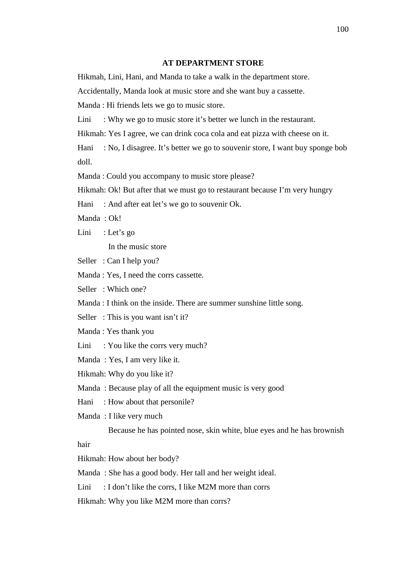#### **AT DEPARTMENT STORE**

Hikmah, Lini, Hani, and Manda to take a walk in the department store.

Accidentally, Manda look at music store and she want buy a cassette.

Manda : Hi friends lets we go to music store.

Lini : Why we go to music store it's better we lunch in the restaurant.

Hikmah: Yes I agree, we can drink coca cola and eat pizza with cheese on it.

Hani : No, I disagree. It's better we go to souvenir store, I want buy sponge bob doll.

Manda : Could you accompany to music store please?

Hikmah: Ok! But after that we must go to restaurant because I'm very hungry

Hani : And after eat let's we go to souvenir Ok.

Manda : Ok!

Lini : Let's go

In the music store

Seller : Can I help you?

Manda : Yes, I need the corrs cassette.

Seller : Which one?

Manda : I think on the inside. There are summer sunshine little song.

Seller: This is you want isn't it?

Manda : Yes thank you

Lini : You like the corrs very much?

Manda : Yes, I am very like it.

Hikmah: Why do you like it?

Manda : Because play of all the equipment music is very good

Hani : How about that personile?

Manda : I like very much

Because he has pointed nose, skin white, blue eyes and he has brownish

hair

Hikmah: How about her body?

Manda : She has a good body. Her tall and her weight ideal.

Lini : I don't like the corrs, I like M2M more than corrs

Hikmah: Why you like M2M more than corrs?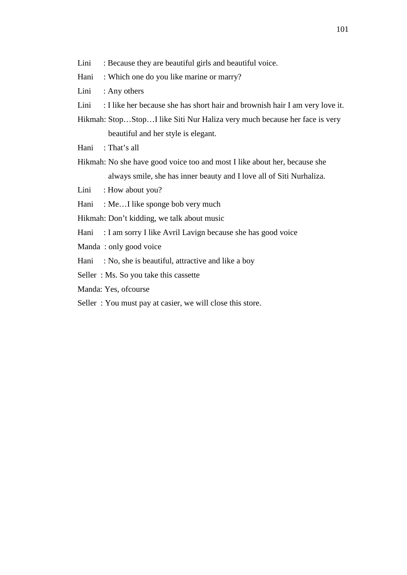- Lini : Because they are beautiful girls and beautiful voice.
- Hani : Which one do you like marine or marry?
- Lini : Any others
- Lini : I like her because she has short hair and brownish hair I am very love it.
- Hikmah: Stop…Stop…I like Siti Nur Haliza very much because her face is very beautiful and her style is elegant.
- Hani : That's all
- Hikmah: No she have good voice too and most I like about her, because she always smile, she has inner beauty and I love all of Siti Nurhaliza.
- Lini : How about you?
- Hani : Me...I like sponge bob very much
- Hikmah: Don't kidding, we talk about music
- Hani : I am sorry I like Avril Lavign because she has good voice
- Manda : only good voice
- Hani : No, she is beautiful, attractive and like a boy
- Seller : Ms. So you take this cassette
- Manda: Yes, ofcourse
- Seller : You must pay at casier, we will close this store.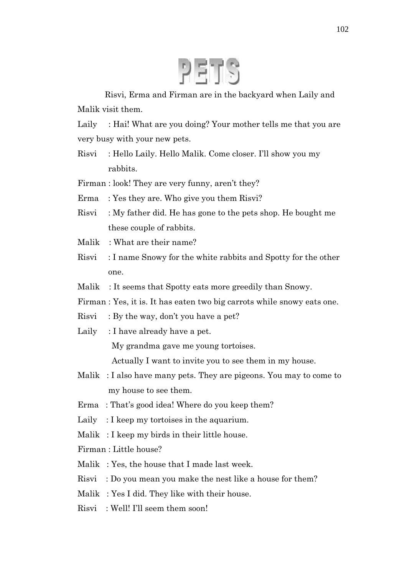

Risvi, Erma and Firman are in the backyard when Laily and Malik visit them.

Laily : Hai! What are you doing? Your mother tells me that you are very busy with your new pets.

Risvi : Hello Laily. Hello Malik. Come closer. I'll show you my rabbits.

Firman : look! They are very funny, aren't they?

- Erma : Yes they are. Who give you them Risvi?
- Risvi : My father did. He has gone to the pets shop. He bought me these couple of rabbits.
- Malik : What are their name?
- Risvi : I name Snowy for the white rabbits and Spotty for the other one.
- Malik : It seems that Spotty eats more greedily than Snowy.
- Firman : Yes, it is. It has eaten two big carrots while snowy eats one.
- Risvi : By the way, don't you have a pet?

Laily : I have already have a pet. My grandma gave me young tortoises. Actually I want to invite you to see them in my house.

- Malik : I also have many pets. They are pigeons. You may to come to my house to see them.
- Erma : That's good idea! Where do you keep them?
- Laily : I keep my tortoises in the aquarium.
- Malik : I keep my birds in their little house.

Firman : Little house?

- Malik : Yes, the house that I made last week.
- Risvi : Do you mean you make the nest like a house for them?
- Malik : Yes I did. They like with their house.
- Risvi : Well! I'll seem them soon!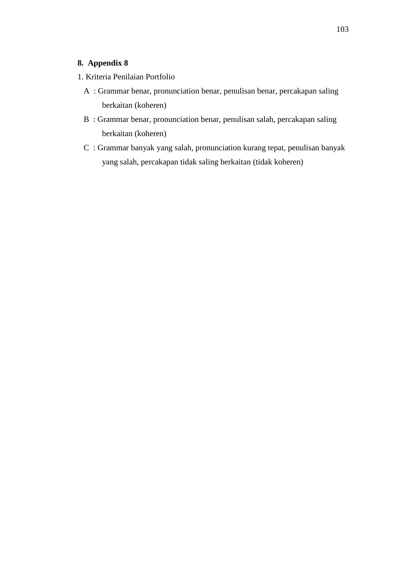# **8. Appendix 8**

- 1. Kriteria Penilaian Portfolio
	- A : Grammar benar, pronunciation benar, penulisan benar, percakapan saling berkaitan (koheren)
	- B : Grammar benar, pronunciation benar, penulisan salah, percakapan saling berkaitan (koheren)
	- C : Grammar banyak yang salah, pronunciation kurang tepat, penulisan banyak yang salah, percakapan tidak saling berkaitan (tidak koheren)